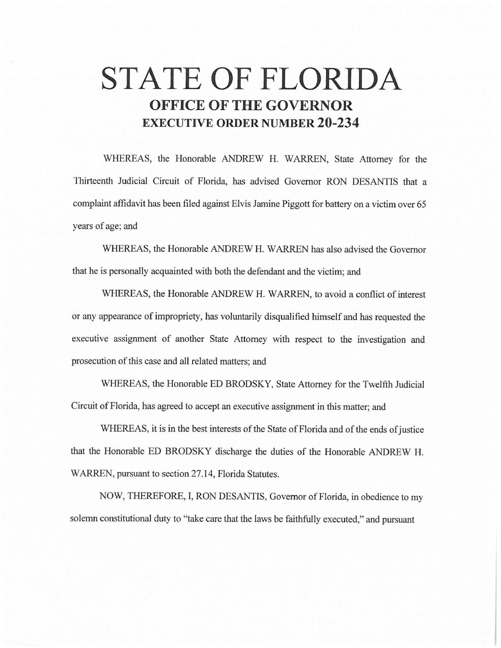# **STATE OF FLORIDA OFFICE OF THE GOVERNOR EXECUTIVE ORDER NUMBER 20-234**

WHEREAS, the Honorable ANDREW H. WARREN, State Attorney for the Thirteenth Judicial Circuit of Florida, has advised Governor RON DESANTIS that a complaint affidavit has been filed against Elvis Jamine Piggott for battery on a victim over 65 years of age; and

WHEREAS, the Honorable ANDREW H. WARREN has also advised the Governor that he is personally acquainted with both the defendant and the victim; and

WHEREAS, the Honorable ANDREW H. WARREN, to avoid a conflict of interest or any appearance of impropriety, has voluntarily disqualified himself and has requested the executive assignment of another State Attorney with respect to the investigation and prosecution of this case and all related matters; and

WHEREAS, the Honorable ED BRODSKY, State Attorney for the Twelfth Judicial Circuit of Florida, has agreed to accept an executive assignment in this matter; and

WHEREAS, it is in the best interests of the State of Florida and of the ends of justice that the Honorable ED BRODSKY discharge the duties of the Honorable ANDREW H. WARREN, pursuant to section 27.14, Florida Statutes.

NOW, THEREFORE, I, RON DESANTIS, Governor of Florida, in obedience to my solemn constitutional duty to ''take care that the laws be faithfully executed," and pursuant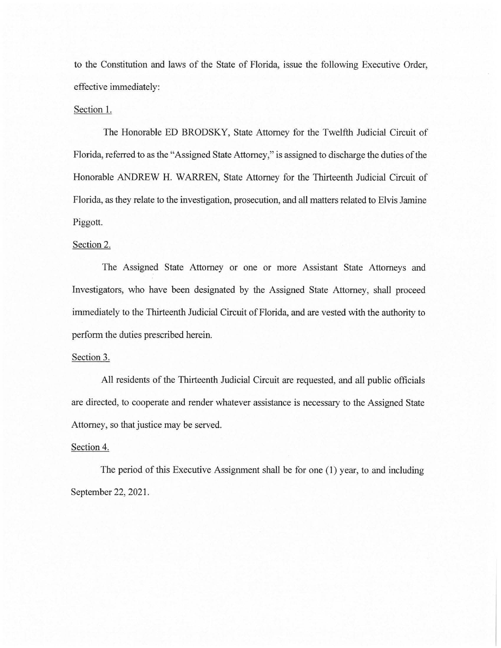to the Constitution and laws of the State of Florida, issue the following Executive Order, effective immediately:

## Section 1.

The Honorable ED BRODSKY, State Attorney for the Twelfth Judicial Circuit of Florida, referred to as the "Assigned State Attorney," is assigned to discharge the duties of the Honorable ANDREW H. WARREN, State Attorney for the Thirteenth Judicial Circuit of Florida, as they relate to the investigation, prosecution, and all matters related to Elvis Jamine Piggott.

#### Section 2.

The Assigned State Attorney or one or more Assistant State Attorneys and Investigators, who have been designated by the Assigned State Attorney, shall proceed immediately to the Thirteenth Judicial Circuit of Florida, and are vested with the authority to perform the duties prescribed herein.

### Section 3.

All residents of the Thirteenth Judicial Circuit are requested, and all public officials are directed, to cooperate and render whatever assistance is necessary to the Assigned State Attorney, so that justice may be served.

## Section 4.

The period of this Executive Assignment shall be for one (1) year, to and including September 22, 2021.